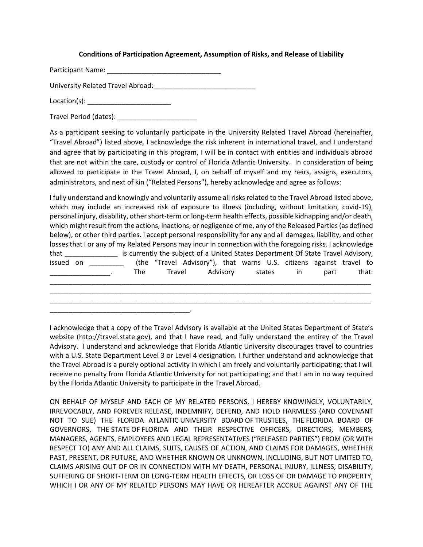## **Conditions of Participation Agreement, Assumption of Risks, and Release of Liability**

Participant Name: \_\_\_\_\_\_\_\_\_\_\_\_\_\_\_\_\_\_\_\_\_\_\_\_\_\_\_\_\_\_

University Related Travel Abroad:\_\_\_\_\_\_\_\_\_\_\_\_\_\_\_\_\_\_\_\_\_\_\_\_\_\_\_

Location(s): \_\_\_\_\_\_\_\_\_\_\_\_\_\_\_\_\_\_\_\_\_\_

Travel Period (dates): \_\_\_\_\_\_\_\_\_\_\_\_\_\_\_\_\_\_\_\_\_

As a participant seeking to voluntarily participate in the University Related Travel Abroad (hereinafter, "Travel Abroad") listed above, I acknowledge the risk inherent in international travel, and I understand and agree that by participating in this program, I will be in contact with entities and individuals abroad that are not within the care, custody or control of Florida Atlantic University. In consideration of being allowed to participate in the Travel Abroad, I, on behalf of myself and my heirs, assigns, executors, administrators, and next of kin ("Related Persons"), hereby acknowledge and agree as follows:

I fully understand and knowingly and voluntarily assume all risks related to the Travel Abroad listed above, which may include an increased risk of exposure to illness (including, without limitation, covid-19), personal injury, disability, other short-term or long-term health effects, possible kidnapping and/or death, which might result from the actions, inactions, or negligence of me, any of the Released Parties (as defined below), or other third parties. I accept personal responsibility for any and all damages, liability, and other losses that I or any of my Related Persons may incur in connection with the foregoing risks. I acknowledge that \_\_\_\_\_\_\_\_\_\_\_\_\_\_ is currently the subject of a United States Department Of State Travel Advisory, issued on \_\_\_\_\_\_\_\_\_ (the "Travel Advisory"), that warns U.S. citizens against travel to \_\_\_\_\_\_\_\_\_\_\_\_\_\_\_\_. The Travel Advisory states in part that: \_\_\_\_\_\_\_\_\_\_\_\_\_\_\_\_\_\_\_\_\_\_\_\_\_\_\_\_\_\_\_\_\_\_\_\_\_\_\_\_\_\_\_\_\_\_\_\_\_\_\_\_\_\_\_\_\_\_\_\_\_\_\_\_\_\_\_\_\_\_\_\_\_\_\_\_\_\_\_\_\_\_\_\_\_ \_\_\_\_\_\_\_\_\_\_\_\_\_\_\_\_\_\_\_\_\_\_\_\_\_\_\_\_\_\_\_\_\_\_\_\_\_\_\_\_\_\_\_\_\_\_\_\_\_\_\_\_\_\_\_\_\_\_\_\_\_\_\_\_\_\_\_\_\_\_\_\_\_\_\_\_\_\_\_\_\_\_\_\_\_

\_\_\_\_\_\_\_\_\_\_\_\_\_\_\_\_\_\_\_\_\_\_\_\_\_\_\_\_\_\_\_\_\_\_\_\_\_\_\_\_\_\_\_\_\_\_\_\_\_\_\_\_\_\_\_\_\_\_\_\_\_\_\_\_\_\_\_\_\_\_\_\_\_\_\_\_\_\_\_\_\_\_\_\_\_

\_\_\_\_\_\_\_\_\_\_\_\_\_\_\_\_\_\_\_\_\_\_\_\_\_\_\_\_\_\_\_\_\_\_\_\_\_.

I acknowledge that a copy of the Travel Advisory is available at the United States Department of State's website (http://travel.state.gov), and that I have read, and fully understand the entirey of the Travel Advisory. I understand and acknowledge that Florida Atlantic University discourages travel to countries with a U.S. State Department Level 3 or Level 4 designation. I further understand and acknowledge that the Travel Abroad is a purely optional activity in which I am freely and voluntarily participating; that I will receive no penalty from Florida Atlantic University for not participating; and that I am in no way required by the Florida Atlantic University to participate in the Travel Abroad.

ON BEHALF OF MYSELF AND EACH OF MY RELATED PERSONS, I HEREBY KNOWINGLY, VOLUNTARILY, IRREVOCABLY, AND FOREVER RELEASE, INDEMNIFY, DEFEND, AND HOLD HARMLESS (AND COVENANT NOT TO SUE) THE FLORIDA ATLANTIC UNIVERSITY BOARD OF TRUSTEES, THE FLORIDA BOARD OF GOVERNORS, THE STATE OF FLORIDA AND THEIR RESPECTIVE OFFICERS, DIRECTORS, MEMBERS, MANAGERS, AGENTS, EMPLOYEES AND LEGAL REPRESENTATIVES ("RELEASED PARTIES") FROM (OR WITH RESPECT TO) ANY AND ALL CLAIMS, SUITS, CAUSES OF ACTION, AND CLAIMS FOR DAMAGES, WHETHER PAST, PRESENT, OR FUTURE, AND WHETHER KNOWN OR UNKNOWN, INCLUDING, BUT NOT LIMITED TO, CLAIMS ARISING OUT OF OR IN CONNECTION WITH MY DEATH, PERSONAL INJURY, ILLNESS, DISABILITY, SUFFERING OF SHORT-TERM OR LONG-TERM HEALTH EFFECTS, OR LOSS OF OR DAMAGE TO PROPERTY, WHICH I OR ANY OF MY RELATED PERSONS MAY HAVE OR HEREAFTER ACCRUE AGAINST ANY OF THE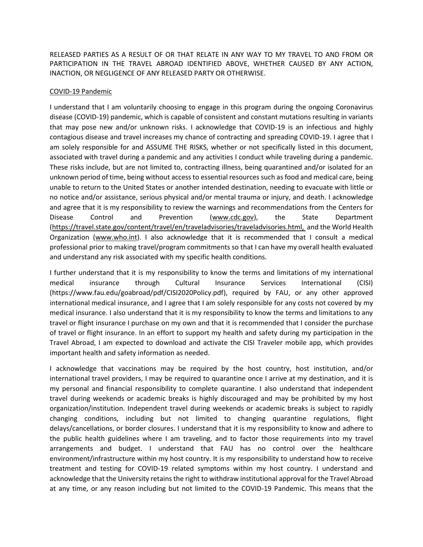RELEASED PARTIES AS A RESULT OF OR THAT RELATE IN ANY WAY TO MY TRAVEL TO AND FROM OR PARTICIPATION IN THE TRAVEL ABROAD IDENTIFIED ABOVE, WHETHER CAUSED BY ANY ACTION, INACTION, OR NEGLIGENCE OF ANY RELEASED PARTY OR OTHERWISE.

## COVID-19 Pandemic

I understand that I am voluntarily choosing to engage in this program during the ongoing Coronavirus disease (COVID-19) pandemic, which is capable of consistent and constant mutations resulting in variants that may pose new and/or unknown risks. I acknowledge that COVID-19 is an infectious and highly contagious disease and travel increases my chance of contracting and spreading COVID-19. I agree that I am solely responsible for and ASSUME THE RISKS, whether or not specifically listed in this document, associated with travel during a pandemic and any activities I conduct while traveling during a pandemic. These risks include, but are not limited to, contracting illness, being quarantined and/or isolated for an unknown period of time, being without access to essential resources such as food and medical care, being unable to return to the United States or another intended destination, needing to evacuate with little or no notice and/or assistance, serious physical and/or mental trauma or injury, and death. I acknowledge and agree that it is my responsibility to review the warnings and recommendations from the Centers for Disease Control and Prevention (www.cdc.gov), the State Department (https://travel.state.gov/content/travel/en/traveladvisories/traveladvisories.html, and the World Health Organization (www.who.int). I also acknowledge that it is recommended that I consult a medical professional prior to making travel/program commitments so that I can have my overall health evaluated and understand any risk associated with my specific health conditions.

I further understand that it is my responsibility to know the terms and limitations of my international medical insurance through Cultural Insurance Services International (CISI) [\(https://www.fau.edu/goabroad/pdf/CISI2020Policy.pdf\)](https://www.fau.edu/goabroad/pdf/CISI2020Policy.pdf), required by FAU, or any other approved international medical insurance, and I agree that I am solely responsible for any costs not covered by my medical insurance. I also understand that it is my responsibility to know the terms and limitations to any travel or flight insurance I purchase on my own and that it is recommended that I consider the purchase of travel or flight insurance. In an effort to support my health and safety during my participation in the Travel Abroad, I am expected to download and activate the CISI Traveler mobile app, which provides important health and safety information as needed.

I acknowledge that vaccinations may be required by the host country, host institution, and/or international travel providers, I may be required to quarantine once I arrive at my destination, and it is my personal and financial responsibility to complete quarantine. I also understand that independent travel during weekends or academic breaks is highly discouraged and may be prohibited by my host organization/institution. Independent travel during weekends or academic breaks is subject to rapidly changing conditions, including but not limited to changing quarantine regulations, flight delays/cancellations, or border closures. I understand that it is my responsibility to know and adhere to the public health guidelines where I am traveling, and to factor those requirements into my travel arrangements and budget. I understand that FAU has no control over the healthcare environment/infrastructure within my host country. It is my responsibility to understand how to receive treatment and testing for COVID-19 related symptoms within my host country. I understand and acknowledge that the University retains the right to withdraw institutional approval for the Travel Abroad at any time, or any reason including but not limited to the COVID-19 Pandemic. This means that the